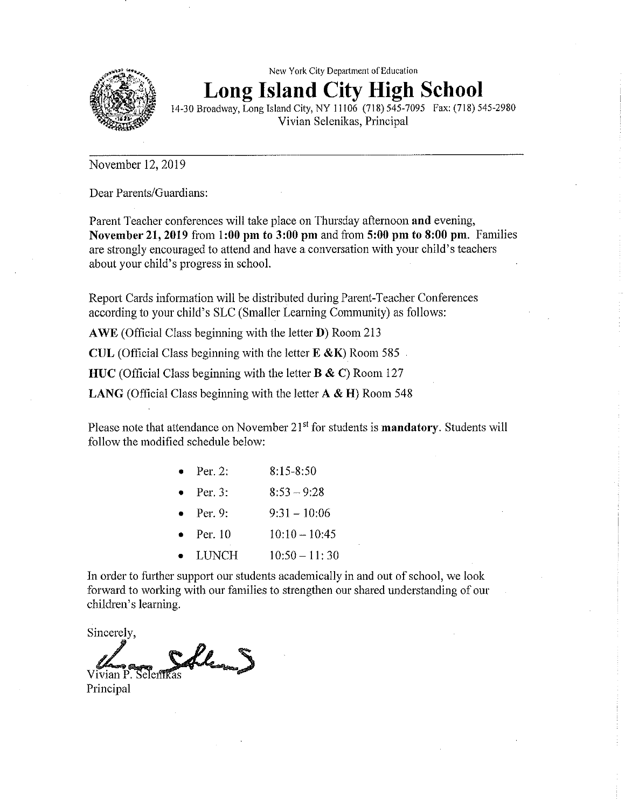

New York City Department of Education Long Island **City** High School

14-30Broadway, Long Island City, NY 11106 (718) 545—7095 Fax: (718) 545-2980 Vivian Selenikas: Principal

November 12, 2019

Dear Parents/Guardians:

Parent Teacher conferences will take place on Thursday afternoon and evening, November 21, 2019 from 1:00 pm to 3:00 pm and from **5:00** pm to **8:00** pm. Families are strongly encouraged to attend and have a conversation with your child's teachers about your child's progress in school.

Report Cards information will be distributed during Parent-Teacher Conferences according to your child's SLC (Smaller Learning Community) as follows:

AWE (Official Class beginning with the letter  $D$ ) Room 213

CUL (Official Class beginning with the letter **E** &K) Room 585

HUC (Official Class beginning with the letter **B & C**) Room 127

LANG (Official Class beginning with the letter **A** & **H**) Room 548

Please note that attendance on November  $21<sup>st</sup>$  for students is **mandatory**. Students will follow the modified schedule below:

| Per. 2: | $8:15 - 8:50$ |
|---------|---------------|
|         |               |

Per. 3:  $8:53 - 9:28$ 

- Per. 9:  $9:31 10:06$
- Per. 10  $10:10-10:45$
- LUNCH 10:50 11:30

In order to further support our students academically in and out of school, we look forward to working with our families to strengthen our shared understanding of our children's learning.

Sincerely,

Union P. Selentias **Principal**